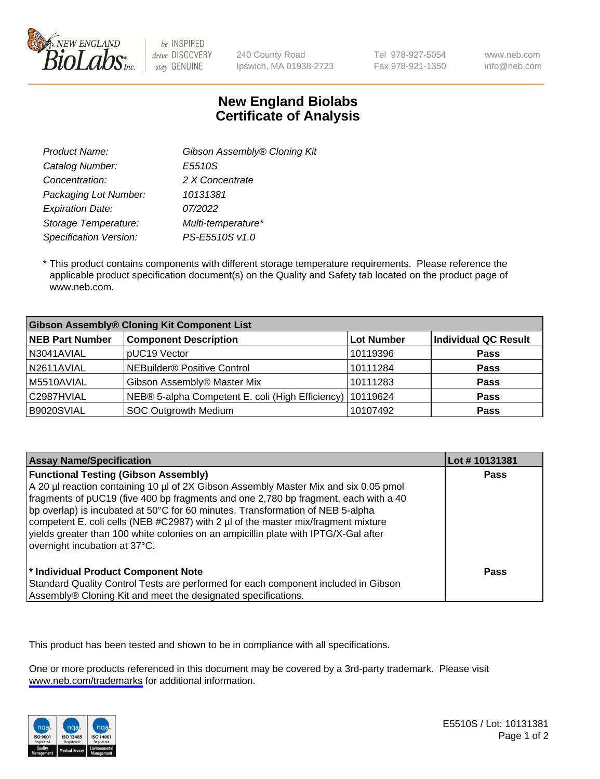

be INSPIRED drive DISCOVERY stay GENUINE

240 County Road Ipswich, MA 01938-2723 Tel 978-927-5054 Fax 978-921-1350 www.neb.com info@neb.com

## **New England Biolabs Certificate of Analysis**

| Gibson Assembly® Cloning Kit |
|------------------------------|
| E5510S                       |
| 2 X Concentrate              |
| 10131381                     |
| 07/2022                      |
| Multi-temperature*           |
| PS-E5510S v1.0               |
|                              |

 \* This product contains components with different storage temperature requirements. Please reference the applicable product specification document(s) on the Quality and Safety tab located on the product page of www.neb.com.

| <b>Gibson Assembly® Cloning Kit Component List</b> |                                                             |            |                             |  |
|----------------------------------------------------|-------------------------------------------------------------|------------|-----------------------------|--|
| <b>NEB Part Number</b>                             | <b>Component Description</b>                                | Lot Number | <b>Individual QC Result</b> |  |
| N3041AVIAL                                         | pUC19 Vector                                                | 10119396   | <b>Pass</b>                 |  |
| N2611AVIAL                                         | NEBuilder <sup>®</sup> Positive Control                     | 10111284   | <b>Pass</b>                 |  |
| M5510AVIAL                                         | Gibson Assembly® Master Mix                                 | 10111283   | <b>Pass</b>                 |  |
| C2987HVIAL                                         | NEB® 5-alpha Competent E. coli (High Efficiency)   10119624 |            | <b>Pass</b>                 |  |
| B9020SVIAL                                         | <b>SOC Outgrowth Medium</b>                                 | 10107492   | <b>Pass</b>                 |  |

| <b>Assay Name/Specification</b>                                                                                                                                                                                                                                                                                                                                                                                                                                                                                           | Lot #10131381 |
|---------------------------------------------------------------------------------------------------------------------------------------------------------------------------------------------------------------------------------------------------------------------------------------------------------------------------------------------------------------------------------------------------------------------------------------------------------------------------------------------------------------------------|---------------|
| <b>Functional Testing (Gibson Assembly)</b><br>A 20 µl reaction containing 10 µl of 2X Gibson Assembly Master Mix and six 0.05 pmol<br>fragments of pUC19 (five 400 bp fragments and one 2,780 bp fragment, each with a 40<br>bp overlap) is incubated at 50°C for 60 minutes. Transformation of NEB 5-alpha<br>competent E. coli cells (NEB #C2987) with 2 µl of the master mix/fragment mixture<br>vields greater than 100 white colonies on an ampicillin plate with IPTG/X-Gal after<br>overnight incubation at 37°C. | Pass          |
| <sup>*</sup> Individual Product Component Note<br>Standard Quality Control Tests are performed for each component included in Gibson<br>Assembly® Cloning Kit and meet the designated specifications.                                                                                                                                                                                                                                                                                                                     | Pass          |

This product has been tested and shown to be in compliance with all specifications.

One or more products referenced in this document may be covered by a 3rd-party trademark. Please visit <www.neb.com/trademarks>for additional information.